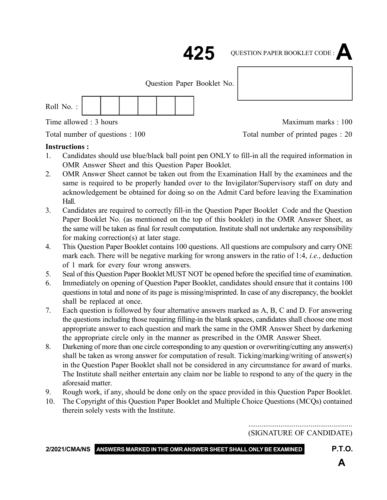

: 1 : **425 425** QUESTION PAPER BOOKLET CODE :**A**

Question Paper Booklet No.

| Roll No.: |  |  |  |  |  |  |
|-----------|--|--|--|--|--|--|
|-----------|--|--|--|--|--|--|

Time allowed : 3 hours and the state of the Maximum marks : 100

Total number of questions : 100 Total number of printed pages : 20

### **Instructions :**

- 1. Candidates should use blue/black ball point pen ONLY to fill-in all the required information in OMR Answer Sheet and this Question Paper Booklet.
- 2. OMR Answer Sheet cannot be taken out from the Examination Hall by the examinees and the same is required to be properly handed over to the Invigilator/Supervisory staff on duty and acknowledgement be obtained for doing so on the Admit Card before leaving the Examination Hall.
- 3. Candidates are required to correctly fill-in the Question Paper Booklet Code and the Question Paper Booklet No. (as mentioned on the top of this booklet) in the OMR Answer Sheet, as the same will be taken as final for result computation. Institute shall not undertake any responsibility for making correction(s) at later stage.
- 4. This Question Paper Booklet contains 100 questions. All questions are compulsory and carry ONE mark each. There will be negative marking for wrong answers in the ratio of 1:4, *i.e.*, deduction of 1 mark for every four wrong answers.
- 5. Seal of this Question Paper Booklet MUST NOT be opened before the specified time of examination.
- 6. Immediately on opening of Question Paper Booklet, candidates should ensure that it contains 100 questions in total and none of its page is missing/misprinted. In case of any discrepancy, the booklet shall be replaced at once.
- 7. Each question is followed by four alternative answers marked as A, B, C and D. For answering the questions including those requiring filling-in the blank spaces, candidates shall choose one most appropriate answer to each question and mark the same in the OMR Answer Sheet by darkening the appropriate circle only in the manner as prescribed in the OMR Answer Sheet.
- 8. Darkening of more than one circle corresponding to any question or overwriting/cutting any answer(s) shall be taken as wrong answer for computation of result. Ticking/marking/writing of answer(s) in the Question Paper Booklet shall not be considered in any circumstance for award of marks. The Institute shall neither entertain any claim nor be liable to respond to any of the query in the aforesaid matter.
- 9. Rough work, if any, should be done only on the space provided in this Question Paper Booklet.
- 10. The Copyright of this Question Paper Booklet and Multiple Choice Questions (MCQs) contained therein solely vests with the Institute.

....................................................... (SIGNATURE OF CANDIDATE)

**2/2021/CMA/NS ANSWERS MARKED IN THE OMR ANSWER SHEET SHALL ONLY BE EXAMINED P.T.O.**

**A**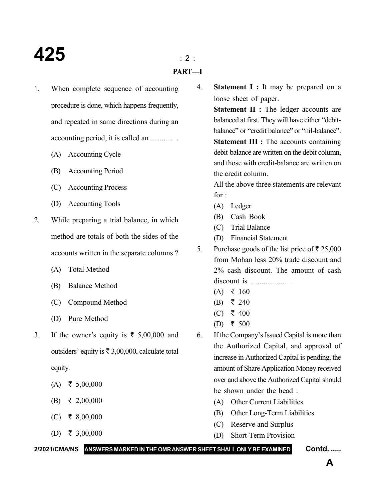# **425** : 2 :

### **PART—I**

- 1. When complete sequence of accounting procedure is done, which happens frequently, and repeated in same directions during an accounting period, it is called an ............ .
	- (A) Accounting Cycle
	- (B) Accounting Period
	- (C) Accounting Process
	- (D) Accounting Tools
- 2. While preparing a trial balance, in which method are totals of both the sides of the accounts written in the separate columns ?
	- (A) Total Method
	- (B) Balance Method
	- (C) Compound Method
	- (D) Pure Method
- 3. If the owner's equity is  $\bar{\xi}$  5,00,000 and outsiders' equity is  $\bar{\tau}$  3,00,000, calculate total equity.
	- $(A) \quad \xi \quad 5,00,000$
	- $(B)$  ₹ 2,00,000
	- $(C)$  ₹ 8,00,000
	- (D) ₹ 3,00,000

4. **Statement I :** It may be prepared on a loose sheet of paper.

> **Statement II :** The ledger accounts are balanced at first. They will have either "debitbalance" or "credit balance" or "nil-balance". **Statement III :** The accounts containing debit-balance are written on the debit column, and those with credit-balance are written on the credit column.

> All the above three statements are relevant for :

- (A) Ledger
- (B) Cash Book
- (C) Trial Balance
- (D) Financial Statement
- 5. Purchase goods of the list price of  $\bar{\tau}$  25,000 from Mohan less 20% trade discount and 2% cash discount. The amount of cash discount is .................... .
	- $(A)$  ₹ 160
	- (B) ₹ 240
	- (C) ₹ 400
	- (D) ₹ 500
- 6. If the Company's Issued Capital is more than the Authorized Capital, and approval of increase in Authorized Capital is pending, the amount of Share Application Money received over and above the Authorized Capital should be shown under the head :
	- (A) Other Current Liabilities
	- (B) Other Long-Term Liabilities
	- (C) Reserve and Surplus
	- (D) Short-Term Provision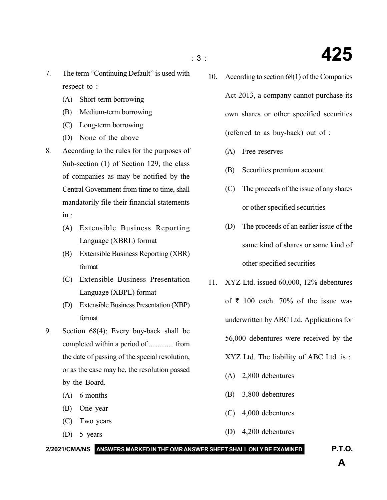- 7. The term "Continuing Default" is used with respect to :
	- (A) Short-term borrowing
	- (B) Medium-term borrowing
	- (C) Long-term borrowing
	- (D) None of the above
- 8. According to the rules for the purposes of Sub-section (1) of Section 129, the class of companies as may be notified by the Central Government from time to time, shall mandatorily file their financial statements in :
	- (A) Extensible Business Reporting Language (XBRL) format
	- (B) Extensible Business Reporting (XBR) format
	- (C) Extensible Business Presentation Language (XBPL) format
	- (D) Extensible Business Presentation (XBP) format
- 9. Section 68(4); Every buy-back shall be completed within a period of .............. from the date of passing of the special resolution, or as the case may be, the resolution passed by the Board.
	- (A) 6 months
	- (B) One year
	- (C) Two years
	- (D) 5 years

10. According to section 68(1) of the Companies Act 2013, a company cannot purchase its own shares or other specified securities (referred to as buy-back) out of :

- (A) Free reserves
- (B) Securities premium account
- (C) The proceeds of the issue of any shares or other specified securities
- (D) The proceeds of an earlier issue of the same kind of shares or same kind of other specified securities
- 11. XYZ Ltd. issued 60,000, 12% debentures of  $\bar{\tau}$  100 each. 70% of the issue was underwritten by ABC Ltd. Applications for 56,000 debentures were received by the XYZ Ltd. The liability of ABC Ltd. is :
	- (A) 2,800 debentures
	- (B) 3,800 debentures
	- (C) 4,000 debentures
	- (D) 4,200 debentures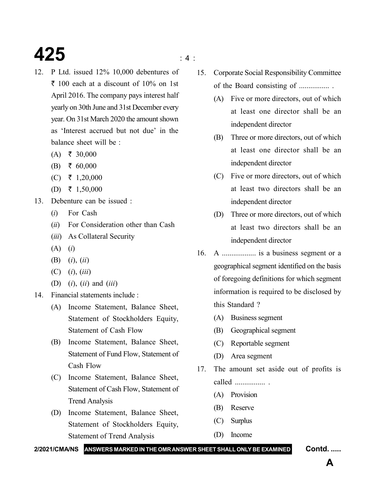# **425**  $\frac{425}{4}$

- 12. P Ltd. issued 12% 10,000 debentures of  $\bar{\tau}$  100 each at a discount of 10% on 1st April 2016. The company pays interest half yearly on 30th June and 31st December every year. On 31st March 2020 the amount shown as 'Interest accrued but not due' in the balance sheet will be :
	- $(A)$  ₹ 30,000
	- $(B)$  ₹ 60,000
	- $(C)$  ₹ 1,20,000
	- (D) ₹ 1,50,000
- 13. Debenture can be issued :
	- (*i*) For Cash
	- (*ii*) For Consideration other than Cash
	- (*iii*) As Collateral Security
	- (A) (*i*)
	- (B) (*i*), (*ii*)
	- (C) (*i*), (*iii*)
	- (D) (*i*), (*ii*) and (*iii*)
- 14. Financial statements include :
	- (A) Income Statement, Balance Sheet, Statement of Stockholders Equity, Statement of Cash Flow
	- (B) Income Statement, Balance Sheet, Statement of Fund Flow, Statement of Cash Flow
	- (C) Income Statement, Balance Sheet, Statement of Cash Flow, Statement of Trend Analysis
	- (D) Income Statement, Balance Sheet, Statement of Stockholders Equity, Statement of Trend Analysis
- 15. Corporate Social Responsibility Committee of the Board consisting of ................ .
	- (A) Five or more directors, out of which at least one director shall be an independent director
	- (B) Three or more directors, out of which at least one director shall be an independent director
	- (C) Five or more directors, out of which at least two directors shall be an independent director
	- (D) Three or more directors, out of which at least two directors shall be an independent director
- 16. A .................. is a business segment or a geographical segment identified on the basis of foregoing definitions for which segment information is required to be disclosed by this Standard ?
	- (A) Business segment
	- (B) Geographical segment
	- (C) Reportable segment
	- (D) Area segment
- 17. The amount set aside out of profits is called ................ .
	- (A) Provision
	- (B) Reserve
	- (C) Surplus
	- (D) Income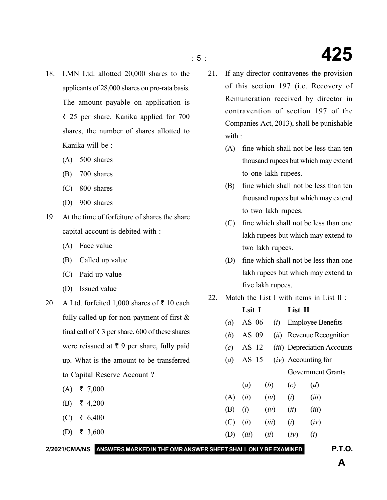- 18. LMN Ltd. allotted 20,000 shares to the applicants of 28,000 shares on pro-rata basis. The amount payable on application is ` 25 per share. Kanika applied for 700 shares, the number of shares allotted to Kanika will be :
	- (A) 500 shares
	- (B) 700 shares
	- (C) 800 shares
	- (D) 900 shares
- 19. At the time of forfeiture of shares the share capital account is debited with :
	- (A) Face value
	- (B) Called up value
	- (C) Paid up value
	- (D) Issued value
- 20. A Ltd. forfeited 1,000 shares of  $\bar{x}$  10 each fully called up for non-payment of first & final call of  $\bar{\tau}$  3 per share. 600 of these shares were reissued at  $\bar{\tau}$  9 per share, fully paid up. What is the amount to be transferred to Capital Reserve Account ?
	- $(A)$  ₹ 7,000
	- $(B)$  ₹ 4,200
	- (C) ₹ 6,400
	- (D) ₹ 3,600
- 21. If any director contravenes the provision of this section 197 (i.e. Recovery of Remuneration received by director in contravention of section 197 of the Companies Act, 2013), shall be punishable with :
	- (A) fine which shall not be less than ten thousand rupees but which may extend to one lakh rupees.
	- (B) fine which shall not be less than ten thousand rupees but which may extend to two lakh rupees.
	- (C) fine which shall not be less than one lakh rupees but which may extend to two lakh rupees.
	- (D) fine which shall not be less than one lakh rupees but which may extend to five lakh rupees.
- 22. Match the List I with items in List II :

|                                                                             |     | Lsit I |       | List II |                                    |
|-----------------------------------------------------------------------------|-----|--------|-------|---------|------------------------------------|
| fully called up for non-payment of first $\&$                               | (a) | AS 06  | (i)   |         | <b>Employee Benefits</b>           |
| final call of $\bar{\tau}$ 3 per share. 600 of these shares                 | (b) | AS 09  |       |         | ( <i>ii</i> ) Revenue Recognition  |
| were reissued at $\bar{\tau}$ 9 per share, fully paid                       | (c) | AS 12  |       |         | <i>(iii)</i> Depreciation Accounts |
| up. What is the amount to be transferred                                    | (d) | AS 15  |       |         | $(iv)$ Accounting for              |
| to Capital Reserve Account?                                                 |     |        |       |         | <b>Government Grants</b>           |
| ₹ 7,000<br>(A)                                                              |     | (a)    | (b)   | (c)     | (d)                                |
| ₹ 4,200                                                                     | (A) | (ii)   | (iv)  | (i)     | (iii)                              |
| (B)                                                                         | (B) | (i)    | (iv)  | (ii)    | (iii)                              |
| ₹ 6,400<br>(C)                                                              | (C) | (ii)   | (iii) | (i)     | (iv)                               |
| ₹ 3,600<br>(D)                                                              | (D) | (iii)  | (ii)  | (iv)    | (i)                                |
| 2/2021/CMA/NS ANSWERS MARKED IN THE OMR ANSWER SHEET SHALL ONLY BE EXAMINED |     |        |       |         | <b>P.T.O.</b>                      |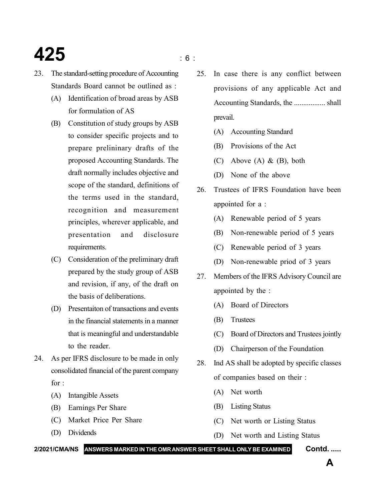# **425** is a set of  $\frac{1}{2}$

- 
- 23. The standard-setting procedure of Accounting Standards Board cannot be outlined as :
	- (A) Identification of broad areas by ASB for formulation of AS
	- (B) Constitution of study groups by ASB to consider specific projects and to prepare prelininary drafts of the proposed Accounting Standards. The draft normally includes objective and scope of the standard, definitions of the terms used in the standard, recognition and measurement principles, wherever applicable, and presentation and disclosure requirements.
	- (C) Consideration of the preliminary draft prepared by the study group of ASB and revision, if any, of the draft on the basis of deliberations.
	- (D) Presentaiton of transactions and events in the financial statements in a manner that is meaningful and understandable to the reader
- 24. As per IFRS disclosure to be made in only consolidated financial of the parent company for :
	- (A) Intangible Assets
	- (B) Earnings Per Share
	- (C) Market Price Per Share
	- (D) Dividends
- 25. In case there is any conflict between provisions of any applicable Act and Accounting Standards, the ................. shall prevail.
	- (A) Accounting Standard
	- (B) Provisions of the Act
	- (C) Above (A) & (B), both
	- (D) None of the above
- 26. Trustees of IFRS Foundation have been appointed for a :
	- (A) Renewable period of 5 years
	- (B) Non-renewable period of 5 years
	- (C) Renewable period of 3 years
	- (D) Non-renewable priod of 3 years
- 27. Members of the IFRS Advisory Council are appointed by the :
	- (A) Board of Directors
	- (B) Trustees
	- (C) Board of Directors and Trustees jointly
	- (D) Chairperson of the Foundation
- 28. Ind AS shall be adopted by specific classes of companies based on their :
	- (A) Net worth
	- (B) Listing Status
	- (C) Net worth or Listing Status
	- (D) Net worth and Listing Status

#### **2/2021/CMA/NS ANSWERS MARKED IN THE OMR ANSWER SHEET SHALL ONLY BE EXAMINED Contd. .....**

**A**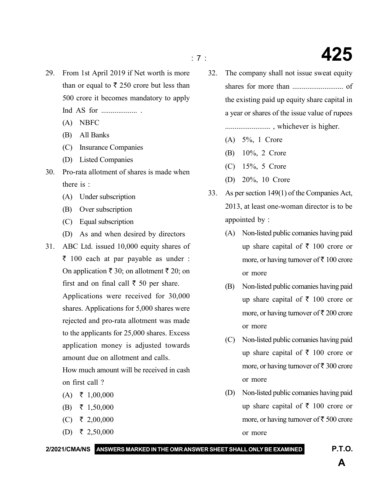- : 7 : **425**
- 29. From 1st April 2019 if Net worth is more than or equal to  $\bar{\tau}$  250 crore but less than 500 crore it becomes mandatory to apply Ind AS for ................... .
	- (A) NBFC
	- (B) All Banks
	- (C) Insurance Companies
	- (D) Listed Companies
- 30. Pro-rata allotment of shares is made when there is :
	- (A) Under subscription
	- (B) Over subscription
	- (C) Equal subscription
	- (D) As and when desired by directors
- 31. ABC Ltd. issued 10,000 equity shares of  $\bar{\tau}$  100 each at par payable as under : On application  $\bar{x}$  30; on allotment  $\bar{x}$  20; on first and on final call  $\bar{\tau}$  50 per share. Applications were received for 30,000 shares. Applications for 5,000 shares were rejected and pro-rata allotment was made to the applicants for 25,000 shares. Excess application money is adjusted towards amount due on allotment and calls.

How much amount will be received in cash on first call ?

- $(A) \quad \xi \quad 1,00,000$
- $(B)$  ₹ 1,50,000
- $(C)$  ₹ 2,00,000
- (D) ₹ 2,50,000
- 32. The company shall not issue sweat equity shares for more than ........................... of the existing paid up equity share capital in a year or shares of the issue value of rupees ........................ , whichever is higher.
	- (A) 5%, 1 Crore
	- (B) 10%, 2 Crore
	- (C) 15%, 5 Crore
	- (D) 20%, 10 Crore
- 33. As per section 149(1) of the Companies Act, 2013, at least one-woman director is to be appointed by :
	- (A) Non-listed public comanies having paid up share capital of  $\bar{\tau}$  100 crore or more, or having turnover of  $\bar{\tau}$  100 crore or more
	- (B) Non-listed public comanies having paid up share capital of  $\bar{\tau}$  100 crore or more, or having turnover of  $\bar{\tau}$  200 crore or more
	- (C) Non-listed public comanies having paid up share capital of  $\bar{\tau}$  100 crore or more, or having turnover of  $\bar{\tau}$  300 crore or more
	- (D) Non-listed public comanies having paid up share capital of  $\bar{\tau}$  100 crore or more, or having turnover of  $\bar{\tau}$  500 crore or more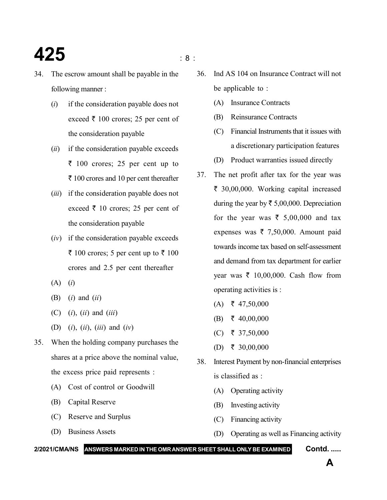- 34. The escrow amount shall be payable in the following manner :
	- (*i*) if the consideration payable does not exceed  $\bar{\tau}$  100 crores; 25 per cent of the consideration payable
	- (*ii*) if the consideration payable exceeds  $\bar{z}$  100 crores; 25 per cent up to  $\bar{\tau}$  100 crores and 10 per cent thereafter
	- (*iii*) if the consideration payable does not exceed  $\bar{\tau}$  10 crores; 25 per cent of the consideration payable
	- (*iv*) if the consideration payable exceeds  $\bar{\xi}$  100 crores; 5 per cent up to  $\bar{\xi}$  100 crores and 2.5 per cent thereafter
	- (A) (*i*)
	- (B) (*i*) and (*ii*)
	- (C) (*i*), (*ii*) and (*iii*)
	- (D) (*i*), (*ii*), (*iii*) and (*iv*)
- 35. When the holding company purchases the shares at a price above the nominal value, the excess price paid represents :
	- (A) Cost of control or Goodwill
	- (B) Capital Reserve
	- (C) Reserve and Surplus
	- (D) Business Assets
- 36. Ind AS 104 on Insurance Contract will not be applicable to :
	- (A) Insurance Contracts
	- (B) Reinsurance Contracts
	- (C) Financial Instruments that it issues with a discretionary participation features
	- (D) Product warranties issued directly
- 37. The net profit after tax for the year was ` 30,00,000. Working capital increased during the year by  $\bar{\tau}$  5,00,000. Depreciation for the year was  $\bar{\xi}$  5,00,000 and tax expenses was  $\bar{\tau}$  7,50,000. Amount paid towards income tax based on self-assessment and demand from tax department for earlier year was  $\bar{\tau}$  10,00,000. Cash flow from operating activities is :
	- $(A)$   $\bar{\tau}$  47,50,000
	- $(B) \t{} \t{} 40,00,000$
	- $(C)$  ₹ 37,50,000
	- (D) ₹ 30,00,000
- 38. Interest Payment by non-financial enterprises is classified as :
	- (A) Operating activity
	- (B) Investing activity
	- (C) Financing activity
	- (D) Operating as well as Financing activity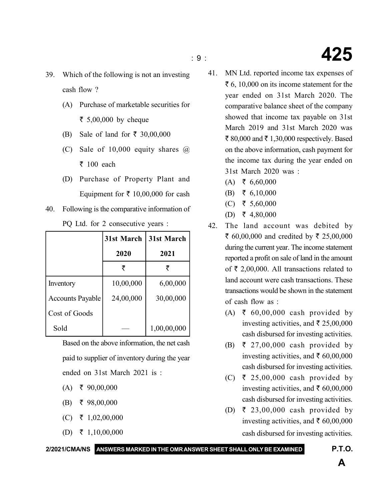- : 9 : **425**
- 39. Which of the following is not an investing cash flow ?
	- (A) Purchase of marketable securities for ₹ 5,00,000 by cheque
	- (B) Sale of land for  $\bar{\tau}$  30,00,000
	- (C) Sale of  $10,000$  equity shares  $\omega$  $\bar{\tau}$  100 each
	- (D) Purchase of Property Plant and Equipment for  $\bar{\tau}$  10,00,000 for cash
- 40. Following is the comparative information of PQ Ltd. for 2 consecutive years :

|                         | 31st March | 31st March  |
|-------------------------|------------|-------------|
|                         | 2020       | 2021        |
|                         | ₹          |             |
| Inventory               | 10,00,000  | 6,00,000    |
| <b>Accounts Payable</b> | 24,00,000  | 30,00,000   |
| Cost of Goods           |            |             |
| Sold                    |            | 1,00,00,000 |

Based on the above information, the net cash paid to supplier of inventory during the year ended on 31st March 2021 is :

- $(A)$   $\bar{\tau}$  90,00,000
- $(B)$  ₹ 98,00,000
- $(C)$  ₹ 1,02,00,000
- (D) ₹ 1,10,00,000

41. MN Ltd. reported income tax expenses of  $\bar{\xi}$  6, 10,000 on its income statement for the year ended on 31st March 2020. The comparative balance sheet of the company showed that income tax payable on 31st March 2019 and 31st March 2020 was ₹ 80,000 and ₹ 1,30,000 respectively. Based on the above information, cash payment for the income tax during the year ended on 31st March 2020 was :

- $(A) \quad \xi \quad 6,60,000$
- $(B) \quad \xi \quad 6,10,000$
- (C) ₹ 5,60,000
- (D) ₹ 4,80,000
- 42. The land account was debited by ₹ 60,00,000 and credited by ₹ 25,00,000 during the current year. The income statement reported a profit on sale of land in the amount of  $\bar{\tau}$  2,00,000. All transactions related to land account were cash transactions. These transactions would be shown in the statement of cash flow as :
	- (A) ₹ 60,00,000 cash provided by investing activities, and  $\bar{\tau}$  25,00,000 cash disbursed for investing activities.
	- (B)  $\bar{\tau}$  27,00,000 cash provided by investing activities, and  $\bar{\tau}$  60,00,000 cash disbursed for investing activities.
	- (C) ₹ 25,00,000 cash provided by investing activities, and  $\bar{\tau}$  60,00,000 cash disbursed for investing activities.
	- (D) ₹ 23,00,000 cash provided by investing activities, and  $\bar{\tau}$  60,00,000 cash disbursed for investing activities.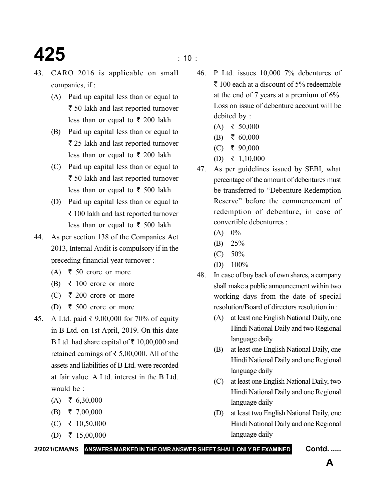### **425**  $\frac{100}{25}$

- 43. CARO 2016 is applicable on small companies, if :
	- (A) Paid up capital less than or equal to ₹ 50 lakh and last reported turnover less than or equal to  $\bar{\tau}$  200 lakh
	- (B) Paid up capital less than or equal to  $\bar{\tau}$  25 lakh and last reported turnover less than or equal to  $\bar{\tau}$  200 lakh
	- (C) Paid up capital less than or equal to  $\bar{\tau}$  50 lakh and last reported turnover less than or equal to  $\bar{\tau}$  500 lakh
	- (D) Paid up capital less than or equal to ₹ 100 lakh and last reported turnover less than or equal to  $\bar{\tau}$  500 lakh
- 44. As per section 138 of the Companies Act 2013, Internal Audit is compulsory if in the preceding financial year turnover :
	- (A)  $\bar{\tau}$  50 crore or more
	- (B)  $\bar{\tau}$  100 crore or more
	- (C) ₹ 200 crore or more
	- (D) ₹ 500 crore or more
- 45. A Ltd. paid  $\bar{\xi}$  9,00,000 for 70% of equity in B Ltd. on 1st April, 2019. On this date B Ltd. had share capital of  $\bar{\tau}$  10,00,000 and retained earnings of  $\bar{\tau}$  5,00,000. All of the assets and liabilities of B Ltd. were recorded at fair value. A Ltd. interest in the B Ltd. would be :
	- $(A) \quad \xi \quad 6,30,000$
	- $(B) \quad \xi \quad 7,00,000$
	- $(C)$  ₹ 10,50,000
	- (D) ₹ 15,00,000

- 46. P Ltd. issues 10,000 7% debentures of  $\bar{\tau}$  100 each at a discount of 5% redeemable at the end of 7 years at a premium of 6%. Loss on issue of debenture account will be debited by :
	- $(A)$  ₹ 50,000
	- $(B)$  ₹ 60,000
	- $(C)$  ₹ 90,000
	- (D) ₹ 1,10,000
- 47. As per guidelines issued by SEBI, what percentage of the amount of debentures must be transferred to "Debenture Redemption Reserve" before the commencement of redemption of debenture, in case of convertible debenturres :
	- $(A) 0\%$
	- (B) 25%
	- (C) 50%
	- (D) 100%
- 48. In case of buy back of own shares, a company shall make a public announcement within two working days from the date of special resolution/Board of directors resolution in :
	- (A) at least one English National Daily, one Hindi National Daily and two Regional language daily
	- (B) at least one English National Daily, one Hindi National Daily and one Regional language daily
	- (C) at least one English National Daily, two Hindi National Daily and one Regional language daily
	- (D) at least two English National Daily, one Hindi National Daily and one Regional language daily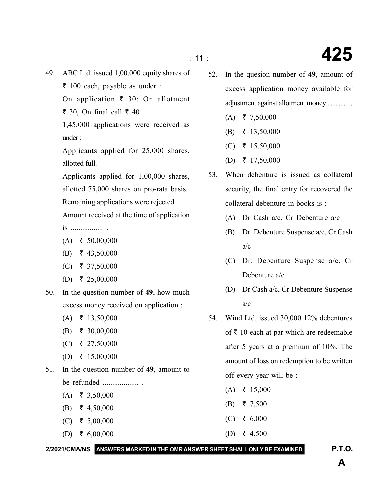- 49. ABC Ltd. issued 1,00,000 equity shares of
	- $\bar{\tau}$  100 each, payable as under :
	- On application  $\bar{\tau}$  30; On allotment
	- $\bar{\xi}$  30, On final call  $\bar{\xi}$  40
	- 1,45,000 applications were received as under :
	- Applicants applied for 25,000 shares, allotted full.

Applicants applied for 1,00,000 shares, allotted 75,000 shares on pro-rata basis.

Remaining applications were rejected.

Amount received at the time of application

is ................. .

- $(A) \quad \xi \quad 50,00,000$
- $(B) \quad \xi$  43,50,000
- $(C)$  ₹ 37,50,000
- (D) ₹ 25,00,000
- 50. In the question number of **49**, how much excess money received on application :
	- $(A) \quad \xi \quad 13,50,000$
	- $(B) \quad \xi \quad 30,00,000$
	- $(C)$  ₹ 27,50,000
	- (D) ₹ 15,00,000
- 51. In the question number of **49**, amount to be refunded ................... .
	- $(A) \quad \xi \quad 3,50,000$
	- (B) ₹ 4,50,000
	- $(C)$  ₹ 5,00,000
	- (D) ₹ 6,00,000

- 52. In the quesion number of **49**, amount of excess application money available for adjustment against allotment money ............ .
	- $(A) \quad \xi \quad 7,50,000$
	- $(B)$  ₹ 13,50,000
	- $(C)$  ₹ 15,50,000
	- (D) ₹ 17,50,000
- 53. When debenture is issued as collateral security, the final entry for recovered the collateral debenture in books is :
	- (A) Dr Cash a/c, Cr Debenture a/c
	- (B) Dr. Debenture Suspense a/c, Cr Cash a/c
	- (C) Dr. Debenture Suspense a/c, Cr Debenture a/c
	- (D) Dr Cash a/c, Cr Debenture Suspense a/c
- 54. Wind Ltd. issued 30,000 12% debentures of  $\bar{\tau}$  10 each at par which are redeemable after 5 years at a premium of 10%. The amount of loss on redemption to be written off every year will be :
	- $(A) \quad \xi \quad 15,000$
	- $(B)$  ₹ 7,500
	- $(C)$  ₹ 6,000
	- (D) ₹ 4,500

**2/2021/CMA/NS ANSWERS MARKED IN THE OMR ANSWER SHEET SHALL ONLY BE EXAMINED P.T.O.**

# : 11 : **425**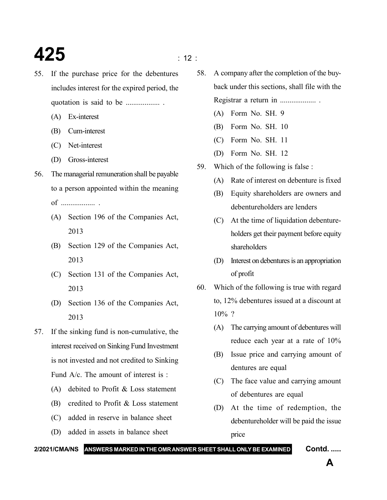### **425**  $\frac{1}{2}$

- 55. If the purchase price for the debentures includes interest for the expired period, the quotation is said to be .................. .
	- (A) Ex-interest
	- (B) Cum-interest
	- (C) Net-interest
	- (D) Gross-interest
- 56. The managerial remuneration shall be payable to a person appointed within the meaning of .................. .
	- (A) Section 196 of the Companies Act, 2013
	- (B) Section 129 of the Companies Act, 2013
	- (C) Section 131 of the Companies Act, 2013
	- (D) Section 136 of the Companies Act, 2013
- 57. If the sinking fund is non-cumulative, the interest received on Sinking Fund Investment is not invested and not credited to Sinking Fund A/c. The amount of interest is :
	- (A) debited to Profit & Loss statement
	- (B) credited to Profit & Loss statement
	- (C) added in reserve in balance sheet
	- (D) added in assets in balance sheet
- 58. A company after the completion of the buyback under this sections, shall file with the Registrar a return in ......................
	- (A) Form No. SH. 9
	- (B) Form No. SH. 10
	- (C) Form No. SH. 11
	- (D) Form No. SH. 12
- 59. Which of the following is false :
	- (A) Rate of interest on debenture is fixed
	- (B) Equity shareholders are owners and debentureholders are lenders
	- (C) At the time of liquidation debentureholders get their payment before equity shareholders
	- (D) Interest on debentures is an appropriation of profit
- 60. Which of the following is true with regard to, 12% debentures issued at a discount at  $10\%$  ?
	- (A) The carrying amount of debentures will reduce each year at a rate of 10%
	- (B) Issue price and carrying amount of dentures are equal
	- (C) The face value and carrying amount of debentures are equal
	- (D) At the time of redemption, the debentureholder will be paid the issue price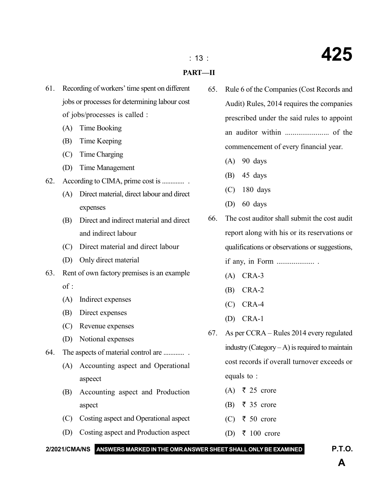#### **PART—II**

- 61. Recording of workers' time spent on different jobs or processes for determining labour cost of jobs/processes is called :
	- (A) Time Booking
	- (B) Time Keeping
	- (C) Time Charging
	- (D) Time Management
- 62. According to CIMA, prime cost is ............. .
	- (A) Direct material, direct labour and direct expenses
	- (B) Direct and indirect material and direct and indirect labour
	- (C) Direct material and direct labour
	- (D) Only direct material
- 63. Rent of own factory premises is an example  $of$ .
	- (A) Indirect expenses
	- (B) Direct expenses
	- (C) Revenue expenses
	- (D) Notional expenses
- 64. The aspects of material control are ............ .
	- (A) Accounting aspect and Operational aspeect
	- (B) Accounting aspect and Production aspect
	- (C) Costing aspect and Operational aspect
	- (D) Costing aspect and Production aspect
- 65. Rule 6 of the Companies (Cost Records and Audit) Rules, 2014 requires the companies prescribed under the said rules to appoint an auditor within ....................... of the commencement of every financial year.
	- (A) 90 days
	- (B) 45 days
	- (C) 180 days
	- (D) 60 days
- 66. The cost auditor shall submit the cost audit report along with his or its reservations or qualifications or observations or suggestions,

if any, in Form .................... .

- (A) CRA-3
- (B) CRA-2
- (C) CRA-4
- (D) CRA-1
- 67. As per CCRA Rules 2014 every regulated industry (Category  $-A$ ) is required to maintain cost records if overall turnover exceeds or equals to :
	- $(A)$   $\overline{z}$  25 crore
	- (B)  $\bar{\tau}$  35 crore
	- (C) ₹ 50 crore
	- (D) ₹ 100 crore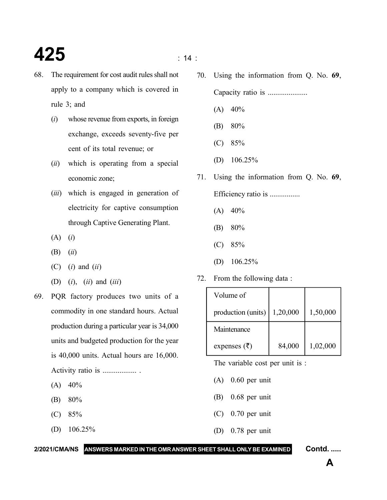### **425**  $\frac{1}{14}$  :

- 68. The requirement for cost audit rules shall not apply to a company which is covered in rule 3; and
	- (*i*) whose revenue from exports, in foreign exchange, exceeds seventy-five per cent of its total revenue; or
	- (*ii*) which is operating from a special economic zone;
	- (*iii*) which is engaged in generation of electricity for captive consumption through Captive Generating Plant.
	- (A) (*i*)
	- (B) (*ii*)
	- (C) (*i*) and (*ii*)
	- (D) (*i*), (*ii*) and (*iii*)
- 69. PQR factory produces two units of a commodity in one standard hours. Actual production during a particular year is 34,000 units and budgeted production for the year is 40,000 units. Actual hours are 16,000. Activity ratio is .................. .
	- $(A)$  40%
	- (B) 80%
	- (C) 85%
	- (D) 106.25%

70. Using the information from Q. No. **69**,

Capacity ratio is .....................

- $(A)$  40%
- (B) 80%
- (C) 85%
- (D) 106.25%
- 71. Using the information from Q. No. **69**, Efficiency ratio is ................
	- $(A)$  40%
	- (B) 80%
	- (C) 85%
	- (D) 106.25%
- 72. From the following data :

| Volume of               |          |          |
|-------------------------|----------|----------|
| production (units)      | 1,20,000 | 1,50,000 |
| Maintenance             |          |          |
| expenses $(\bar{\tau})$ | 84,000   | 1,02,000 |

The variable cost per unit is :

- (A) 0.60 per unit
- (B) 0.68 per unit
- (C) 0.70 per unit
- (D) 0.78 per unit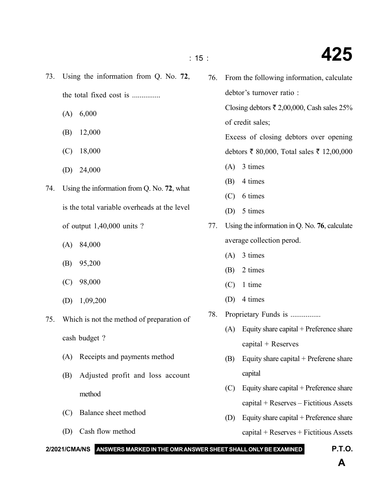- the total fixed cost is ............... (C) Balance sheet method 76. From the following information, calculate debtor's turnover ratio : Closing debtors  $\bar{\tau}$  2,00,000, Cash sales 25% of credit sales; Excess of closing debtors over opening debtors ₹ 80,000, Total sales ₹ 12,00,000 (A) 3 times (B) 4 times (C) 6 times (D) 5 times 77. Using the information in Q. No. **76**, calculate average collection perod. (A) 3 times (B) 2 times (C) 1 time (D) 4 times 78. Proprietary Funds is ................ (A) Equity share capital + Preference share capital + Reserves (B) Equity share capital + Preferene share capital (C) Equity share capital + Preference share capital + Reserves – Fictitious Assets (D) Equity share capital + Preference share capital + Reserves + Fictitious Assets
- (B) 12,000 (C) 18,000 (D) 24,000 is the total variable overheads at the level of output 1,40,000 units ? (A) 84,000 (B) 95,200 (C) 98,000 (D) 1,09,200 cash budget ? (A) Receipts and payments method (B) Adjusted profit and loss account
	-
- (D) Cash flow method

# 73. Using the information from Q. No. **72**,

(A) 6,000

74. Using the information from Q. No. **72**, what

- 75. Which is not the method of preparation of
	- method

### **2/2021/CMA/NS ANSWERS MARKED IN THE OMR ANSWER SHEET SHALL ONLY BE EXAMINED P.T.O.**

: 15 : **425**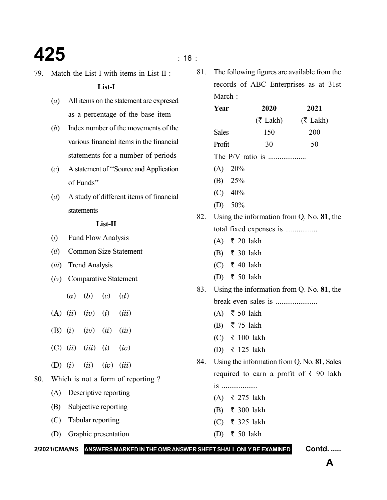### **425** is a set of  $\frac{1}{16}$  is a set of  $\frac{1}{16}$  is a set of  $\frac{1}{16}$  is a set of  $\frac{1}{16}$  is a set of  $\frac{1}{16}$  is a set of  $\frac{1}{16}$  is a set of  $\frac{1}{16}$  is a set of  $\frac{1}{16}$  is a set of  $\frac{1}{16}$  is a set

79. Match the List-I with items in List-II :

**List-I**

- (*a*) All items on the statement are expresed as a percentage of the base item
- (*b*) Index number of the movements of the various financial items in the financial statements for a number of periods
- (*c*) A statement of ''Source and Application of Funds''
- (*d*) A study of different items of financial statements

### **List-II**

- (*i*) Fund Flow Analysis
- (*ii*) Common Size Statement
- (*iii*) Trend Analysis
- (*iv*) Comparative Statement
	- (*a*) (*b*) (*c*) (*d*)
- (A) (*ii*) (*iv*) (*i*) (*iii*)
- (B) (*i*) (*iv*) (*ii*) (*iii*)
- (C) (*ii*) (*iii*) (*i*) (*iv*)
- (D) (*i*) (*ii*) (*iv*) (*iii*)
- 80. Which is not a form of reporting ?
	- (A) Descriptive reporting
	- (B) Subjective reporting
	- (C) Tabular reporting
	- (D) Graphic presentation

81. The following figures are available from the records of ABC Enterprises as at 31st March:

| Year                                              | 2020                                          | 2021                                                |  |  |  |  |  |
|---------------------------------------------------|-----------------------------------------------|-----------------------------------------------------|--|--|--|--|--|
|                                                   |                                               | $(\overline{\zeta}$ Lakh) $(\overline{\zeta}$ Lakh) |  |  |  |  |  |
| <b>Sales</b>                                      | 150                                           | 200                                                 |  |  |  |  |  |
| Profit                                            | 30                                            | 50                                                  |  |  |  |  |  |
|                                                   |                                               |                                                     |  |  |  |  |  |
| $(A)$ 20%                                         |                                               |                                                     |  |  |  |  |  |
| (B) 25%                                           |                                               |                                                     |  |  |  |  |  |
| $(C)$ 40%                                         |                                               |                                                     |  |  |  |  |  |
| (D) $50\%$                                        |                                               |                                                     |  |  |  |  |  |
|                                                   | 82. Using the information from Q. No. 81, the |                                                     |  |  |  |  |  |
|                                                   | total fixed expenses is                       |                                                     |  |  |  |  |  |
| $(A)$ ₹ 20 lakh                                   |                                               |                                                     |  |  |  |  |  |
| (B) ₹ 30 lakh                                     |                                               |                                                     |  |  |  |  |  |
| (C) ₹ 40 lakh                                     |                                               |                                                     |  |  |  |  |  |
| (D) ₹ 50 lakh                                     |                                               |                                                     |  |  |  |  |  |
| 83. Using the information from Q. No. 81, the     |                                               |                                                     |  |  |  |  |  |
|                                                   |                                               |                                                     |  |  |  |  |  |
| $(A)$ ₹ 50 lakh                                   |                                               |                                                     |  |  |  |  |  |
| (B) ₹ 75 lakh                                     |                                               |                                                     |  |  |  |  |  |
| (C) ₹ 100 lakh                                    |                                               |                                                     |  |  |  |  |  |
| (D) ₹ 125 lakh                                    |                                               |                                                     |  |  |  |  |  |
|                                                   |                                               | 84. Using the information from Q. No. 81, Sales     |  |  |  |  |  |
| required to earn a profit of $\bar{\tau}$ 90 lakh |                                               |                                                     |  |  |  |  |  |
| <b>1S</b>                                         |                                               |                                                     |  |  |  |  |  |
| (A) ₹ 275 lakh                                    |                                               |                                                     |  |  |  |  |  |
| (B) ₹ 300 lakh                                    |                                               |                                                     |  |  |  |  |  |
| (C) ₹ 325 lakh                                    |                                               |                                                     |  |  |  |  |  |
| (D) ₹ 50 lakh                                     |                                               |                                                     |  |  |  |  |  |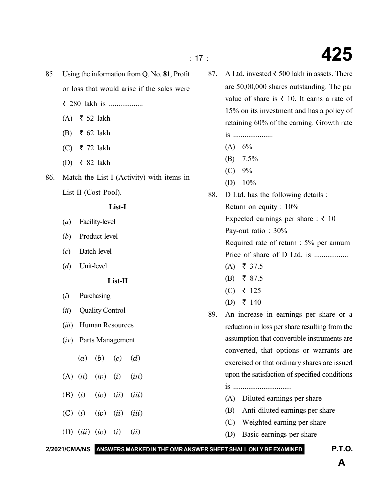- 85. Using the information from Q. No. **81**, Profit or loss that would arise if the sales were  $\bar{z}$  280 lakh is ...................
	- $(A)$  ₹ 52 lakh
	- (B)  $\bar{\tau}$  62 lakh
	- (C) ₹ 72 lakh
	- (D) ₹ 82 lakh
- 86. Match the List-I (Activity) with items in List-II (Cost Pool).

### **List-I**

- (*a*) Facility-level
- (*b*) Product-level
- (*c*) Batch-level
- (*d*) Unit-level

#### **List-II**

- (*i*) Purchasing
- (*ii*) Quality Control
- (*iii*) Human Resources
- (*iv*) Parts Management
	- (*a*) (*b*) (*c*) (*d*)
- (A) (*ii*) (*iv*) (*i*) (*iii*)
- (B) (*i*) (*iv*) (*ii*) (*iii*)
- (C) (*i*) (*iv*) (*ii*) (*iii*)
- (D) (*iii*) (*iv*) (*i*) (*ii*)
- 87. A Ltd. invested  $\bar{\tau}$  500 lakh in assets. There are 50,00,000 shares outstanding. The par value of share is  $\bar{\tau}$  10. It earns a rate of 15% on its investment and has a policy of retaining 60% of the earning. Growth rate is .....................
	- $(A) 6%$
	- (B) 7.5%
	- $(C) 9%$
	- (D)  $10\%$
- 88. D Ltd. has the following details : Return on equity : 10% Expected earnings per share :  $\bar{\tau}$  10 Pay-out ratio : 30% Required rate of return : 5% per annum Price of share of D Ltd. is ..................  $(A) \quad \xi \quad 37.5$ 
	- $(B) \quad \xi \quad 87.5$
	- (C) ₹ 125
	- (D) ₹ 140
- 89. An increase in earnings per share or a reduction in loss per share resulting from the assumption that convertible instruments are converted, that options or warrants are exercised or that ordinary shares are issued upon the satisfaction of specified conditions
	- is ...............................
	- (A) Diluted earnings per share
	- (B) Anti-diluted earnings per share
	- (C) Weighted earning per share
	- (D) Basic earnings per share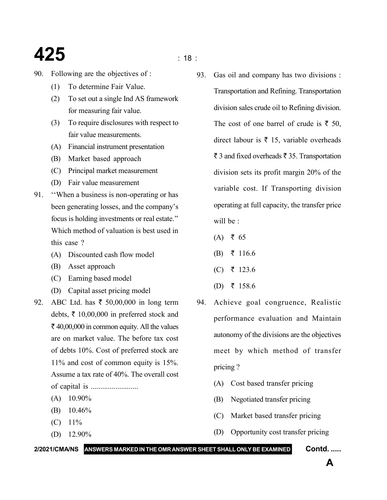### **425** is a set of  $\frac{1}{2}$  is a set of  $\frac{1}{2}$  is a set of  $\frac{1}{2}$  is a set of  $\frac{1}{2}$  is a set of  $\frac{1}{2}$

- 90. Following are the objectives of :
	- (1) To determine Fair Value.
	- (2) To set out a single Ind AS framework for measuring fair value.
	- (3) To require disclosures with respect to fair value measurements.
	- (A) Financial instrument presentation
	- (B) Market based approach
	- (C) Principal market measurement
	- (D) Fair value measurement
- 91. ''When a business is non-operating or has been generating losses, and the company's focus is holding investments or real estate.'' Which method of valuation is best used in this case ?
	- (A) Discounted cash flow model
	- (B) Asset approach
	- (C) Earning based model
	- (D) Capital asset pricing model
- 92. ABC Ltd. has  $\bar{x}$  50,00,000 in long term debts,  $\bar{\tau}$  10,00,000 in preferred stock and  $\bar{\tau}$  40,00,000 in common equity. All the values are on market value. The before tax cost of debts 10%. Cost of preferred stock are 11% and cost of common equity is 15%. Assume a tax rate of 40%. The overall cost of capital is .........................
	- $(A)$  10.90%
	- (B) 10.46%
	- $(C)$  11%
	- (D) 12.90%

93. Gas oil and company has two divisions : Transportation and Refining. Transportation division sales crude oil to Refining division. The cost of one barrel of crude is  $\bar{\tau}$  50, direct labour is  $\bar{\tau}$  15, variable overheads  $\overline{\xi}$  3 and fixed overheads  $\overline{\xi}$  35. Transportation division sets its profit margin 20% of the variable cost. If Transporting division operating at full capacity, the transfer price will be :

- $(A)$  ₹ 65
- $(B)$  ₹ 116.6
- (C) ₹ 123.6
- (D) ₹ 158.6
- 94. Achieve goal congruence, Realistic performance evaluation and Maintain autonomy of the divisions are the objectives meet by which method of transfer pricing ?
	- (A) Cost based transfer pricing
	- (B) Negotiated transfer pricing
	- (C) Market based transfer pricing
	- (D) Opportunity cost transfer pricing

#### **2/2021/CMA/NS ANSWERS MARKED IN THE OMR ANSWER SHEET SHALL ONLY BE EXAMINED Contd. .....**

**A**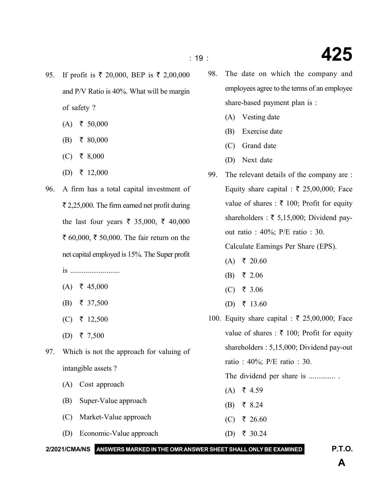- 95. If profit is  $\bar{\tau}$  20,000, BEP is  $\bar{\tau}$  2,00,000 and P/V Ratio is 40%. What will be margin of safety ?
	- $(A)$  ₹ 50,000
	- $(B)$  ₹ 80,000
	- $(C)$  ₹ 8,000
	- (D) ₹ 12,000
- 96. A firm has a total capital investment of  $\bar{\tau}$  2,25,000. The firm earned net profit during the last four years  $\bar{\xi}$  35,000,  $\bar{\xi}$  40,000 ₹ 60,000, ₹ 50,000. The fair return on the net capital employed is 15%. The Super profit is ..........................
	- $(A) \quad \xi \quad 45,000$
	- $(B) \quad \xi \quad 37,500$
	- (C) ₹ 12,500
	- (D) ₹ 7,500
- 97. Which is not the approach for valuing of intangible assets ?
	- (A) Cost approach
	- (B) Super-Value approach
	- (C) Market-Value approach
	- (D) Economic-Value approach
- 98. The date on which the company and employees agree to the terms of an employee share-based payment plan is :
	- (A) Vesting date
	- (B) Exercise date
	- (C) Grand date
	- (D) Next date
- 99. The relevant details of the company are : Equity share capital :  $\overline{\xi}$  25,00,000; Face value of shares :  $\bar{\tau}$  100; Profit for equity shareholders :  $\bar{\tau}$  5,15,000; Dividend payout ratio : 40%; P/E ratio : 30.

Calculate Earnings Per Share (EPS).

- $(A) \quad \xi \quad 20.60$
- (B) ₹ 2.06
- $(C)$  ₹ 3.06
- (D) ₹ 13.60
- 100. Equity share capital :  $\bar{\tau}$  25,00,000; Face value of shares :  $\bar{\tau}$  100; Profit for equity shareholders : 5,15,000; Dividend pay-out ratio : 40%; P/E ratio : 30.

The dividend per share is .................

- $(A) \quad \xi \quad 4.59$
- $(B)$  ₹ 8.24
- (C) ₹ 26.60
- (D) ₹ 30.24